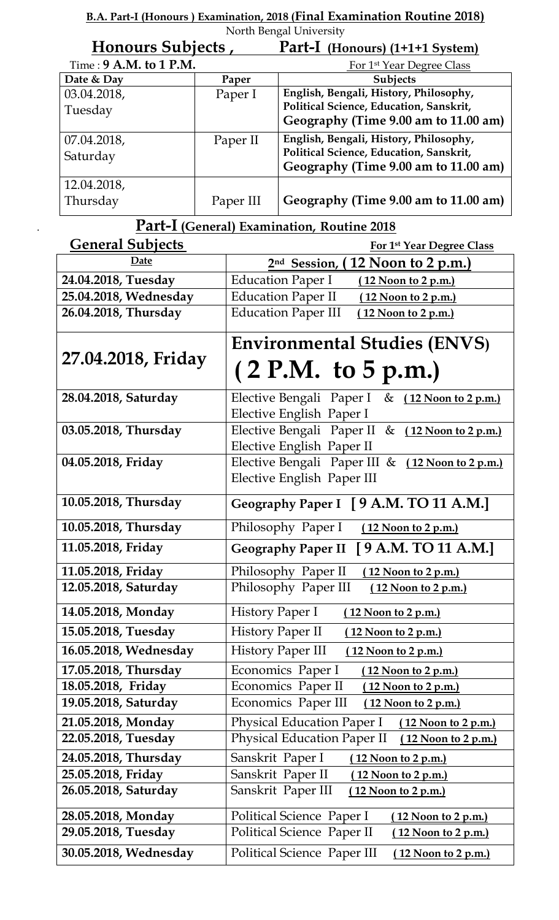**B.A. Part-I (Honours ) Examination, 2018 (Final Examination Routine 2018)** North Bengal University

| Honours Subjects,        |           | Part-I (Honours) (1+1+1 System)         |
|--------------------------|-----------|-----------------------------------------|
| Time: $9$ A.M. to 1 P.M. |           | For 1 <sup>st</sup> Year Degree Class   |
| Date & Day               | Paper     | <b>Subjects</b>                         |
| 03.04.2018,              | Paper I   | English, Bengali, History, Philosophy,  |
| Tuesday                  |           | Political Science, Education, Sanskrit, |
|                          |           | Geography (Time 9.00 am to 11.00 am)    |
| 07.04.2018,              | Paper II  | English, Bengali, History, Philosophy,  |
| Saturday                 |           | Political Science, Education, Sanskrit, |
|                          |           | Geography (Time 9.00 am to 11.00 am)    |
| 12.04.2018,              |           |                                         |
| Thursday                 | Paper III | Geography (Time 9.00 am to 11.00 am)    |

## . **Part-I (General) Examination, Routine 2018**

| <b>General Subjects</b> | For 1st Year Degree Class                                                               |
|-------------------------|-----------------------------------------------------------------------------------------|
| Date                    | 2 <sup>nd</sup> Session, (12 Noon to 2 p.m.)                                            |
| 24.04.2018, Tuesday     | <b>Education Paper I</b><br><u>(12 Noon to 2 p.m.)</u>                                  |
| 25.04.2018, Wednesday   | <b>Education Paper II</b><br><u>(12 Noon to 2 p.m.)</u>                                 |
| 26.04.2018, Thursday    | <b>Education Paper III</b><br>12 Noon to 2 p.m.)                                        |
|                         | <b>Environmental Studies (ENVS)</b>                                                     |
| 27.04.2018, Friday      | (2 P.M. to 5 p.m.)                                                                      |
| 28.04.2018, Saturday    | Elective Bengali Paper I<br><u>(12 Noon to 2 p.m.)</u><br>&<br>Elective English Paper I |
| 03.05.2018, Thursday    | Elective Bengali Paper II & (12 Noon to 2 p.m.)<br>Elective English Paper II            |
| 04.05.2018, Friday      | Elective Bengali Paper III & (12 Noon to 2 p.m.)<br>Elective English Paper III          |
| 10.05.2018, Thursday    | Geography Paper I [9 A.M. TO 11 A.M.]                                                   |
| 10.05.2018, Thursday    | Philosophy Paper I<br><u>(12 Noon to 2 p.m.)</u>                                        |
| 11.05.2018, Friday      | Geography Paper II [9 A.M. TO 11 A.M.]                                                  |
| 11.05.2018, Friday      | Philosophy Paper II<br>(12 Noon to 2 p.m.)                                              |
| 12.05.2018, Saturday    | Philosophy Paper III<br><u>(12 Noon to 2 p.m.)</u>                                      |
| 14.05.2018, Monday      | History Paper I<br><u>(12 Noon to 2 p.m.)</u>                                           |
| 15.05.2018, Tuesday     | <b>History Paper II</b><br><u>(12 Noon to 2 p.m.)</u>                                   |
| 16.05.2018, Wednesday   | <b>History Paper III</b><br><u>(12 Noon to 2 p.m.)</u>                                  |
| 17.05.2018, Thursday    | Economics Paper I<br>$(12$ Noon to $2$ p.m.)                                            |
| 18.05.2018, Friday      | Economics Paper II<br>(12 Noon to 2 p.m.)                                               |
| 19.05.2018, Saturday    | Economics Paper III<br>(12 Noon to 2 p.m.)                                              |
| 21.05.2018, Monday      | <b>Physical Education Paper I</b><br>(12 Noon to 2 p.m.)                                |
| 22.05.2018, Tuesday     | <b>Physical Education Paper II</b><br>(12 Noon to 2 p.m.)                               |
| 24.05.2018, Thursday    | Sanskrit Paper I<br>(12 Noon to 2 p.m.)                                                 |
| 25.05.2018, Friday      | Sanskrit Paper II<br>(12 Noon to 2 p.m.)                                                |
| 26.05.2018, Saturday    | Sanskrit Paper III<br>$(12$ Noon to 2 p.m.)                                             |
| 28.05.2018, Monday      | Political Science Paper I<br><u>(12 Noon to 2 p.m.)</u>                                 |
| 29.05.2018, Tuesday     | Political Science Paper II<br>$(12$ Noon to 2 p.m.)                                     |
| 30.05.2018, Wednesday   | Political Science Paper III<br><u>(12 Noon to 2 p.m.)</u>                               |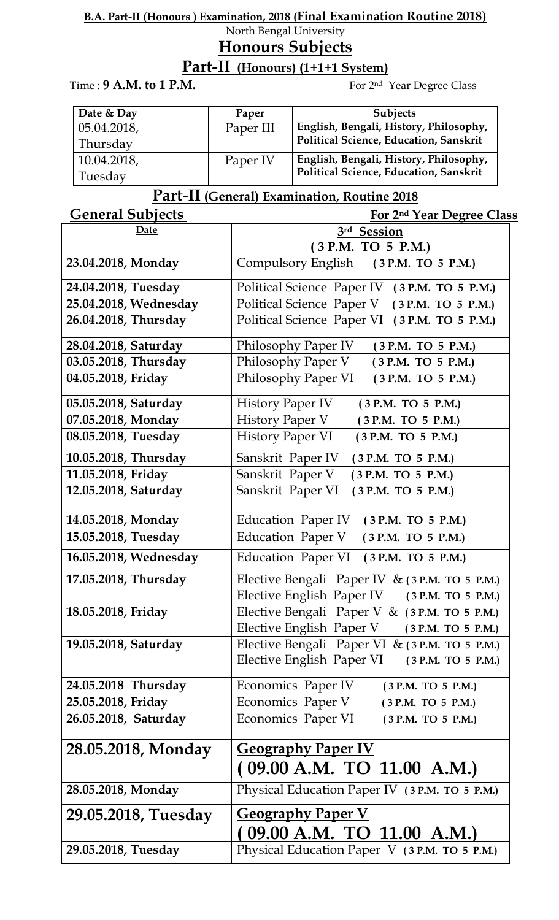#### **B.A. Part-II (Honours ) Examination, 2018 (Final Examination Routine 2018)** North Bengal University

## **Honours Subjects**

## **Part-II (Honours) (1+1+1 System)**

Time : 9 A.M. to 1 P.M.

For 2<sup>nd</sup> Year Degree Class

| Date & Day  | Paper     | <b>Subjects</b>                        |
|-------------|-----------|----------------------------------------|
| 05.04.2018, | Paper III | English, Bengali, History, Philosophy, |
| Thursday    |           | Political Science, Education, Sanskrit |
| 10.04.2018, | Paper IV  | English, Bengali, History, Philosophy, |
| Tuesday     |           | Political Science, Education, Sanskrit |

# **Part-II (General) Examination, Routine 2018**

| <b>General Subjects</b> | For 2nd Year Degree Class                                                                      |
|-------------------------|------------------------------------------------------------------------------------------------|
| Date                    | 3rd Session                                                                                    |
|                         | (3 P.M. TO 5 P.M.)                                                                             |
| 23.04.2018, Monday      | Compulsory English (3 P.M. TO 5 P.M.)                                                          |
| 24.04.2018, Tuesday     | Political Science Paper IV (3 P.M. TO 5 P.M.)                                                  |
| 25.04.2018, Wednesday   | Political Science Paper V (3 P.M. TO 5 P.M.)                                                   |
| 26.04.2018, Thursday    | Political Science Paper VI (3 P.M. TO 5 P.M.)                                                  |
| 28.04.2018, Saturday    | Philosophy Paper IV<br>(3 P.M. TO 5 P.M.)                                                      |
| 03.05.2018, Thursday    | Philosophy Paper V<br>(3 P.M. TO 5 P.M.)                                                       |
| 04.05.2018, Friday      | Philosophy Paper VI<br>(3 P.M. TO 5 P.M.)                                                      |
| 05.05.2018, Saturday    | <b>History Paper IV</b><br>(3 P.M. TO 5 P.M.)                                                  |
| 07.05.2018, Monday      | History Paper V<br>(3 P.M. TO 5 P.M.)                                                          |
| 08.05.2018, Tuesday     | History Paper VI<br>(3 P.M. TO 5 P.M.)                                                         |
| 10.05.2018, Thursday    | Sanskrit Paper IV<br>(3 P.M. TO 5 P.M.)                                                        |
| 11.05.2018, Friday      | Sanskrit Paper V<br>(3 P.M. TO 5 P.M.)                                                         |
| 12.05.2018, Saturday    | Sanskrit Paper VI<br>(3 P.M. TO 5 P.M.)                                                        |
| 14.05.2018, Monday      | Education Paper IV (3 P.M. TO 5 P.M.)                                                          |
| 15.05.2018, Tuesday     | Education Paper V (3 P.M. TO 5 P.M.)                                                           |
| 16.05.2018, Wednesday   | Education Paper VI (3 P.M. TO 5 P.M.)                                                          |
| 17.05.2018, Thursday    | Elective Bengali Paper IV & (3 P.M. TO 5 P.M.)<br>Elective English Paper IV (3 P.M. TO 5 P.M.) |
| 18.05.2018, Friday      | Elective Bengali Paper V & (3 P.M. TO 5 P.M.)                                                  |
|                         | Elective English Paper V (3 P.M. TO 5 P.M.)                                                    |
| 19.05.2018, Saturday    | Elective Bengali Paper VI & (3 P.M. TO 5 P.M.)                                                 |
|                         | Elective English Paper VI (3 P.M. TO 5 P.M.)                                                   |
| 24.05.2018 Thursday     | Economics Paper IV<br>(3 P.M. TO 5 P.M.)                                                       |
| 25.05.2018, Friday      | Economics Paper V<br>(3 P.M. TO 5 P.M.)                                                        |
| 26.05.2018, Saturday    | Economics Paper VI<br>(3 P.M. TO 5 P.M.)                                                       |
| 28.05.2018, Monday      | <b>Geography Paper IV</b>                                                                      |
|                         | (09.00 A.M. TO 11.00 A.M.)                                                                     |
|                         |                                                                                                |
| 28.05.2018, Monday      | Physical Education Paper IV (3 P.M. TO 5 P.M.)                                                 |
| 29.05.2018, Tuesday     | <b>Geography Paper V</b>                                                                       |
|                         | 09.00 A.M. TO 11.00 A.M.                                                                       |
| 29.05.2018, Tuesday     | Physical Education Paper V (3 P.M. TO 5 P.M.)                                                  |